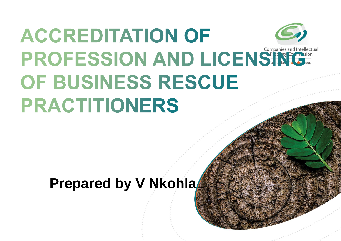# **ACCREDITATION OF PROFESSION AND LICENS** OF BUSINESS RESCUE **PRACTITIONERS**

### Prepared by V Nkohla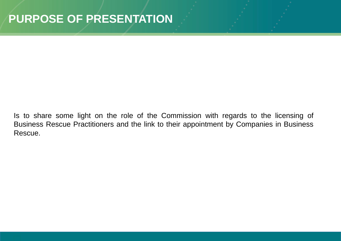Is to share some light on the role of the Commission with regards to the licensing of Business Rescue Practitioners and the link to their appointment by Companies in Business Rescue.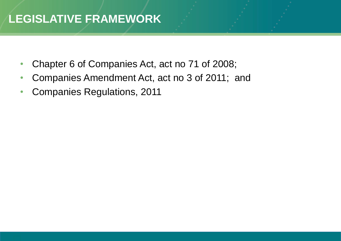#### **LEGISLATIVE FRAMEWORK**

- Chapter 6 of Companies Act, act no 71 of 2008;
- Companies Amendment Act, act no 3 of 2011; and
- Companies Regulations, 2011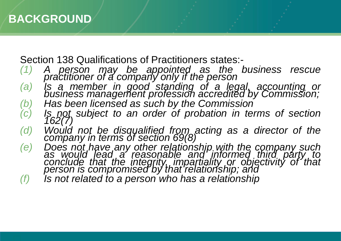Section 138 Qualifications of Practitioners states:-

*(1) A person may be appointed as the business rescue practitioner of a company only if the person*

- *(a) Is a member in good standing of a legal, accounting or business management profession accredited by Commission;*
- *(b) Has been licensed as such by the Commission*
- *(c) Is not subject to an order of probation in terms of section 162(7)*
- *(d) Would not be disqualified from acting as a director of the company in terms of section 69(8)*
- *(e) Does not have any other relationship with the company such as would lead a reasonable and informed third party to conclude that the integrity, impartiality or objectivity of that person is compromised by that relationship; and*
- *(f) Is not related to a person who has a relationship*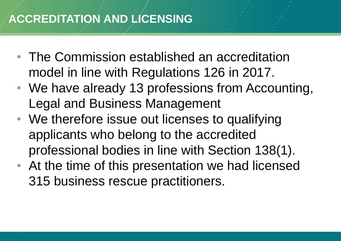#### **ACCREDITATION AND LICENSING**

- The Commission established an accreditation model in line with Regulations 126 in 2017.
- We have already 13 professions from Accounting, Legal and Business Management
- We therefore issue out licenses to qualifying applicants who belong to the accredited professional bodies in line with Section 138(1).
- At the time of this presentation we had licensed 315 business rescue practitioners.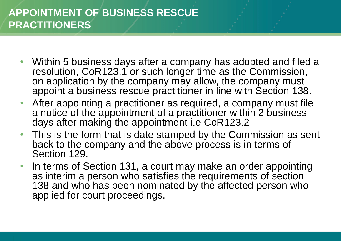#### **APPOINTMENT OF BUSINESS RESCUE PRACTITIONERS**

- Within 5 business days after a company has adopted and filed a resolution, CoR123.1 or such longer time as the Commission, on application by the company may allow, the company must appoint a business rescue practitioner in line with Section 138.
- After appointing a practitioner as required, a company must file a notice of the appointment of a practitioner within 2 business days after making the appointment i.e CoR123.2
- This is the form that is date stamped by the Commission as sent back to the company and the above process is in terms of Section 129.
- In terms of Section 131, a court may make an order appointing as interim a person who satisfies the requirements of section 138 and who has been nominated by the affected person who applied for court proceedings.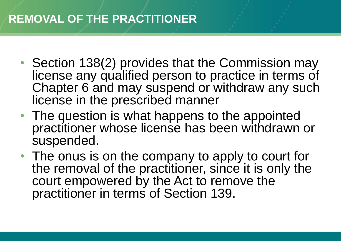#### **REMOVAL OF THE PRACTITIONER**

- Section 138(2) provides that the Commission may license any qualified person to practice in terms of Chapter 6 and may suspend or withdraw any such license in the prescribed manner
- The question is what happens to the appointed practitioner whose license has been withdrawn or suspended.
- The onus is on the company to apply to court for the removal of the practitioner, since it is only the court empowered by the Act to remove the practitioner in terms of Section 139.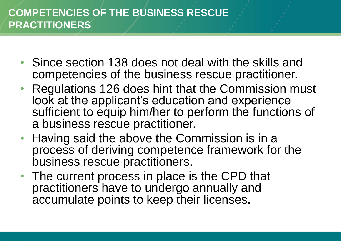#### **COMPETENCIES OF THE BUSINESS RESCUE PRACTITIONERS**

- Since section 138 does not deal with the skills and competencies of the business rescue practitioner.
- Regulations 126 does hint that the Commission must look at the applicant's education and experience sufficient to equip him/her to perform the functions of a business rescue practitioner.
- Having said the above the Commission is in a process of deriving competence framework for the business rescue practitioners.
- The current process in place is the CPD that practitioners have to undergo annually and accumulate points to keep their licenses.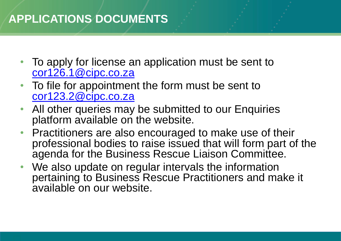#### **APPLICATIONS DOCUMENTS**

- To apply for license an application must be sent to [cor126.1@cipc.co.za](mailto:cor126.1@cipc.co.za)
- To file for appointment the form must be sent to [cor123.2@cipc.co.za](mailto:cor123.2@cipc.co.za)
- All other queries may be submitted to our Enquiries platform available on the website.
- Practitioners are also encouraged to make use of their professional bodies to raise issued that will form part of the agenda for the Business Rescue Liaison Committee.
- We also update on regular intervals the information pertaining to Business Rescue Practitioners and make it available on our website.